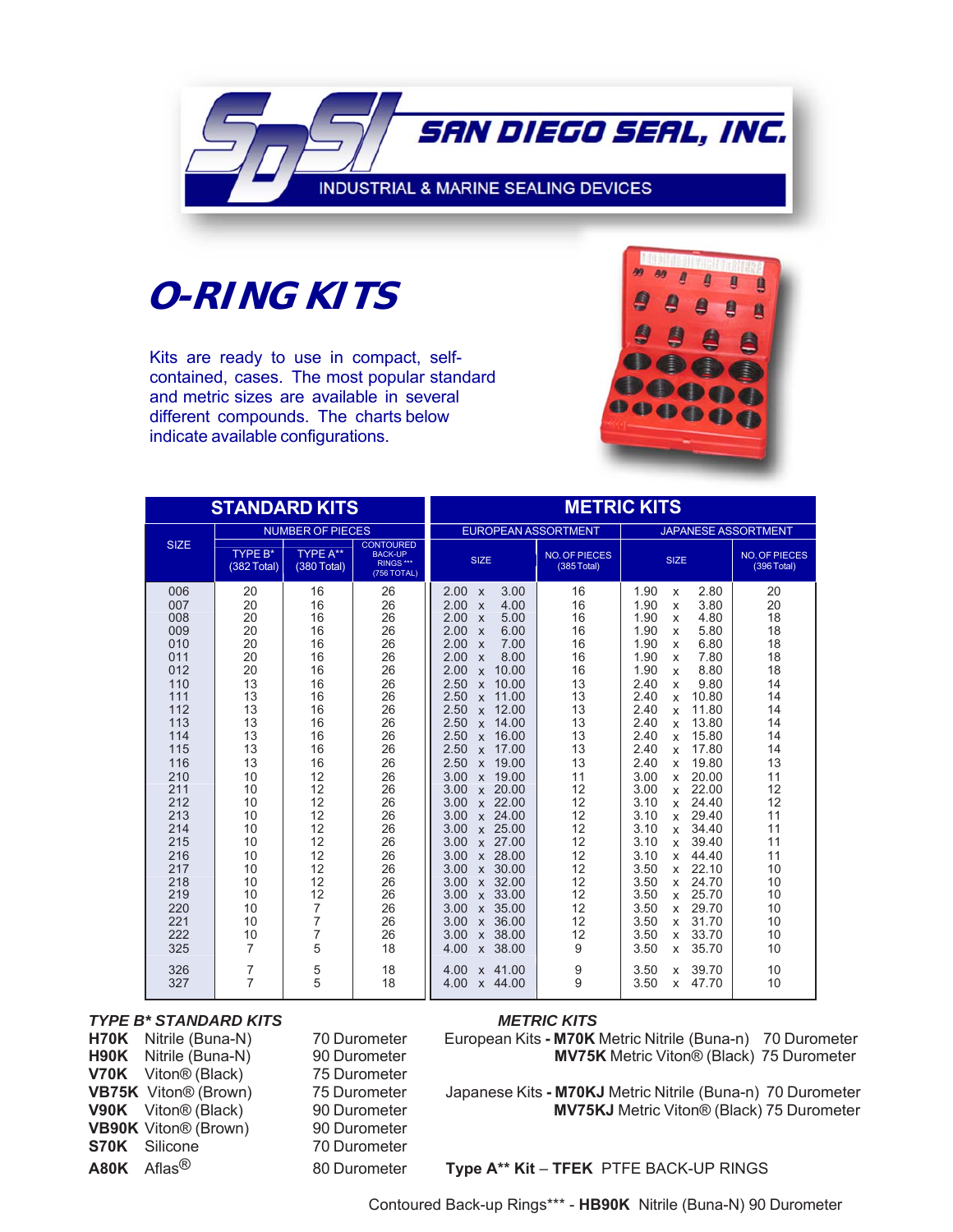

# **O-RING KITS**

Kits are ready to use in compact, selfcontained, cases. The most popular standard and metric sizes are available in several different compounds. The charts below indicate available configurations.



| <b>STANDARD KITS</b>                                                                                                                                                                             |                                                                                                                                                                     |                                                                                                                                                                               |                                                                                                                                                                      |                                                                                                                                                                                                                                                                                                                                                                                                                                                                                                                                                                                                                                                                                                                                                 | <b>METRIC KITS</b>                                                                                                                                                  |                                                                                                                                                                                                                                                                                                                                                                                                                                                                                                                                                                                                                              |                                                                                                                                                                      |
|--------------------------------------------------------------------------------------------------------------------------------------------------------------------------------------------------|---------------------------------------------------------------------------------------------------------------------------------------------------------------------|-------------------------------------------------------------------------------------------------------------------------------------------------------------------------------|----------------------------------------------------------------------------------------------------------------------------------------------------------------------|-------------------------------------------------------------------------------------------------------------------------------------------------------------------------------------------------------------------------------------------------------------------------------------------------------------------------------------------------------------------------------------------------------------------------------------------------------------------------------------------------------------------------------------------------------------------------------------------------------------------------------------------------------------------------------------------------------------------------------------------------|---------------------------------------------------------------------------------------------------------------------------------------------------------------------|------------------------------------------------------------------------------------------------------------------------------------------------------------------------------------------------------------------------------------------------------------------------------------------------------------------------------------------------------------------------------------------------------------------------------------------------------------------------------------------------------------------------------------------------------------------------------------------------------------------------------|----------------------------------------------------------------------------------------------------------------------------------------------------------------------|
|                                                                                                                                                                                                  |                                                                                                                                                                     | <b>NUMBER OF PIECES</b>                                                                                                                                                       |                                                                                                                                                                      | <b>EUROPEAN ASSORTMENT</b>                                                                                                                                                                                                                                                                                                                                                                                                                                                                                                                                                                                                                                                                                                                      |                                                                                                                                                                     | <b>JAPANESE ASSORTMENT</b>                                                                                                                                                                                                                                                                                                                                                                                                                                                                                                                                                                                                   |                                                                                                                                                                      |
| <b>SIZE</b>                                                                                                                                                                                      | <b>TYPE B*</b><br>(382 Total)                                                                                                                                       | <b>TYPE A**</b><br>(380 Total)                                                                                                                                                | <b>CONTOURED</b><br><b>BACK-UP</b><br>RINGS ***<br>(756 TOTAL)                                                                                                       | <b>SIZE</b>                                                                                                                                                                                                                                                                                                                                                                                                                                                                                                                                                                                                                                                                                                                                     | <b>NO. OF PIECES</b><br>(385 Total)                                                                                                                                 | <b>SIZE</b>                                                                                                                                                                                                                                                                                                                                                                                                                                                                                                                                                                                                                  | <b>NO. OF PIECES</b><br>(396 Total)                                                                                                                                  |
| 006<br>007<br>008<br>009<br>010<br>011<br>012<br>110<br>111<br>112<br>113<br>114<br>115<br>116<br>210<br>211<br>212<br>213<br>214<br>215<br>216<br>217<br>218<br>219<br>220<br>221<br>222<br>325 | 20<br>20<br>20<br>20<br>20<br>20<br>20<br>13<br>13<br>13<br>13<br>13<br>13<br>13<br>10<br>10<br>10<br>10<br>10<br>10<br>10<br>10<br>10<br>10<br>10<br>10<br>10<br>7 | 16<br>16<br>16<br>16<br>16<br>16<br>16<br>16<br>16<br>16<br>16<br>16<br>16<br>16<br>12<br>12<br>12<br>12<br>12<br>12<br>12<br>12<br>12<br>12<br>7<br>$\overline{7}$<br>7<br>5 | 26<br>26<br>26<br>26<br>26<br>26<br>26<br>26<br>26<br>26<br>26<br>26<br>26<br>26<br>26<br>26<br>26<br>26<br>26<br>26<br>26<br>26<br>26<br>26<br>26<br>26<br>26<br>18 | 3.00<br>2.00<br>X<br>2.00<br>4.00<br>$\boldsymbol{\mathsf{x}}$<br>2.00<br>5.00<br>$\boldsymbol{\mathsf{x}}$<br>6.00<br>2.00<br>$\boldsymbol{\mathsf{x}}$<br>7.00<br>2.00<br>$\boldsymbol{\mathsf{x}}$<br>8.00<br>2.00<br>X<br>10.00<br>2.00<br>X<br>2.50<br>10.00<br>X<br>2.50<br>11.00<br>X<br>2.50<br>12.00<br>X<br>2.50<br>14.00<br>X<br>2.50<br>16.00<br>$\mathbf{x}$<br>17.00<br>2.50<br>X<br>19.00<br>2.50<br>X<br>19.00<br>3.00<br>X<br>3.00<br>x 20.00<br>3.00<br>x 22.00<br>x 24.00<br>3.00<br>3.00<br>x 25.00<br>3.00<br>x 27.00<br>x 28.00<br>3.00<br>x 30.00<br>3.00<br>x 32.00<br>3.00<br>x 33.00<br>3.00<br>3.00<br>35.00<br>$\mathsf{x}$<br>36.00<br>3.00<br>$\mathsf{x}$<br>38.00<br>3.00<br>$\mathsf{x}$<br>38.00<br>4.00<br>X | 16<br>16<br>16<br>16<br>16<br>16<br>16<br>13<br>13<br>13<br>13<br>13<br>13<br>13<br>11<br>12<br>12<br>12<br>12<br>12<br>12<br>12<br>12<br>12<br>12<br>12<br>12<br>9 | 1.90<br>2.80<br>X<br>1.90<br>3.80<br>x<br>1.90<br>4.80<br>X<br>1.90<br>5.80<br>X<br>1.90<br>6.80<br>X<br>7.80<br>1.90<br>X<br>8.80<br>1.90<br>X<br>2.40<br>9.80<br>X<br>2.40<br>10.80<br>X<br>2.40<br>11.80<br>X<br>2.40<br>13.80<br>X<br>2.40<br>15.80<br>x<br>2.40<br>17.80<br>X<br>19.80<br>2.40<br>X<br>3.00<br>20.00<br>x<br>3.00<br>22.00<br>X<br>3.10<br>24.40<br>x<br>3.10<br>29.40<br>X<br>3.10<br>34.40<br>X<br>3.10<br>39.40<br>X<br>3.10<br>44.40<br>X<br>3.50<br>22.10<br>X<br>3.50<br>24.70<br>X<br>3.50<br>25.70<br>X<br>3.50<br>29.70<br>X<br>3.50<br>31.70<br>X<br>3.50<br>33.70<br>x<br>3.50<br>35.70<br>x | 20<br>20<br>18<br>18<br>18<br>18<br>18<br>14<br>14<br>14<br>14<br>14<br>14<br>13<br>11<br>12<br>12<br>11<br>11<br>11<br>11<br>10<br>10<br>10<br>10<br>10<br>10<br>10 |
| 326<br>327                                                                                                                                                                                       | 7<br>7                                                                                                                                                              | 5<br>5                                                                                                                                                                        | 18<br>18                                                                                                                                                             | $x$ 41.00<br>4.00<br>4.00<br>x 44.00                                                                                                                                                                                                                                                                                                                                                                                                                                                                                                                                                                                                                                                                                                            | 9<br>9                                                                                                                                                              | 39.70<br>3.50<br>x<br>3.50<br>47.70<br>X                                                                                                                                                                                                                                                                                                                                                                                                                                                                                                                                                                                     | 10<br>10                                                                                                                                                             |

#### *TYPE B\* STANDARD KITS METRIC KITS*

**V70K** Viton® (Black) 75 Durometer **VB90K** Viton® (Brown) 90 Durometer **S70K** Silicone 70 Durometer

**H70K** Nitrile (Buna-N) 70 Durometer European Kits **- M70K** Metric Nitrile (Buna-n) 70 Durometer **H90K** Nitrile (Buna-N) 90 Durometer **MV75K** Metric Viton® (Black) 75 Durometer

**VB75K** Viton® (Brown) 75 Durometer Japanese Kits **- M70KJ** Metric Nitrile (Buna-n) 70 Durometer **V90K** Viton® (Black) 90 Durometer **MV75KJ** Metric Viton® (Black) 75 Durometer

**A80K** Aflas<sup>®</sup> 80 Durometer **Type A\*\* Kit – TFEK** PTFE BACK-UP RINGS

Contoured Back-up Rings\*\*\* - **HB90K** Nitrile (Buna-N) 90 Durometer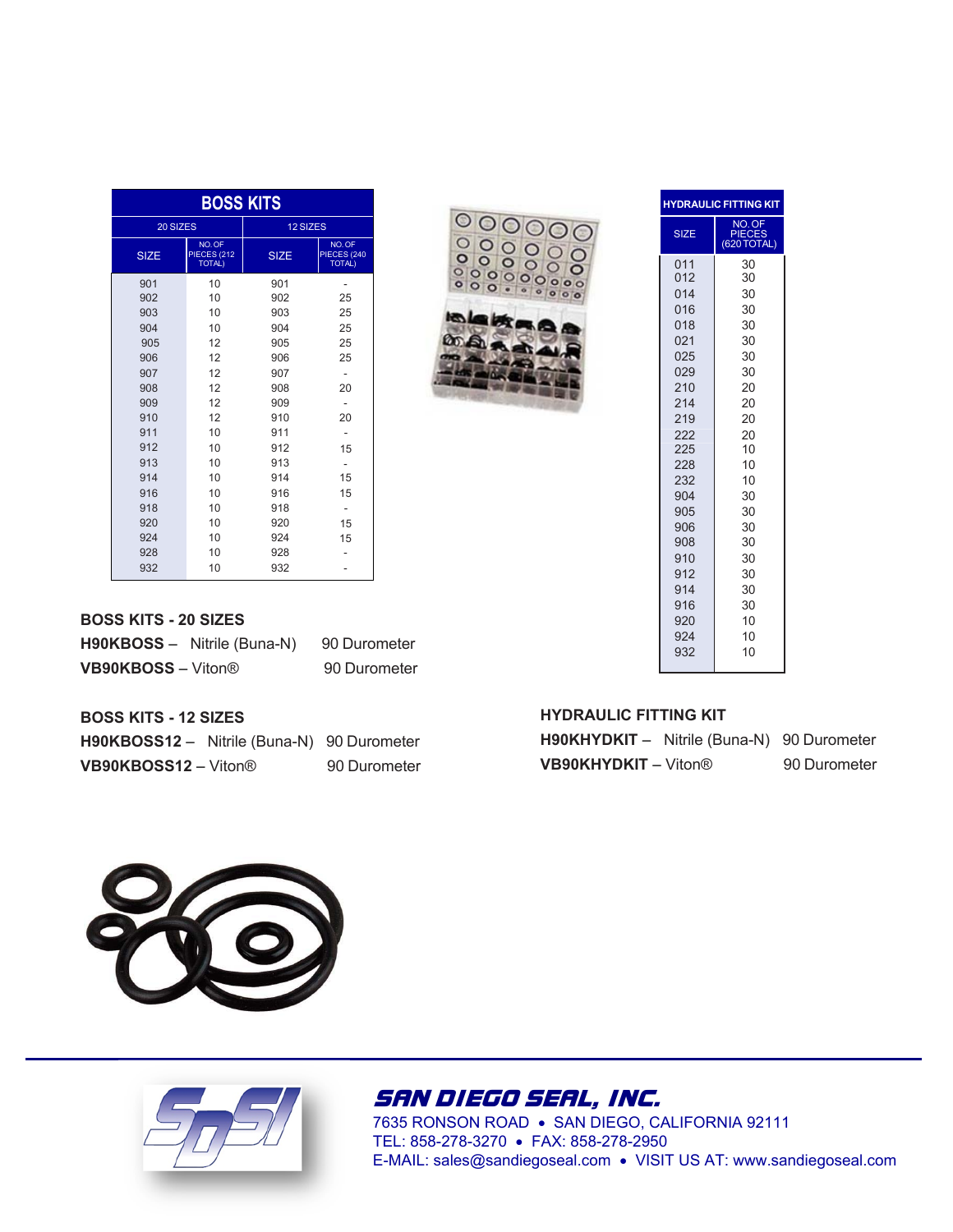| <b>BOSS KITS</b> |                                              |                 |                                              |  |  |
|------------------|----------------------------------------------|-----------------|----------------------------------------------|--|--|
| 20 SIZES         |                                              | <b>12 SIZES</b> |                                              |  |  |
| <b>SIZE</b>      | NO.OF<br><b>PIECES (212</b><br><b>TOTAL)</b> | <b>SIZE</b>     | NO.OF<br><b>PIECES (240</b><br><b>TOTAL)</b> |  |  |
| 901              | 10                                           | 901             |                                              |  |  |
| 902              | 10                                           | 902             | 25                                           |  |  |
| 903              | 10                                           | 903             | 25                                           |  |  |
| 904              | 10                                           | 904             | 25                                           |  |  |
| 905              | 12                                           | 905             | 25                                           |  |  |
| 906              | 12                                           | 906             | 25                                           |  |  |
| 907              | 12                                           | 907             | -                                            |  |  |
| 908              | 12                                           | 908             | 20                                           |  |  |
| 909              | 12                                           | 909             | ٠                                            |  |  |
| 910              | 12                                           | 910             | 20                                           |  |  |
| 911              | 10                                           | 911             |                                              |  |  |
| 912              | 10                                           | 912             | 15                                           |  |  |
| 913              | 10                                           | 913             |                                              |  |  |
| 914              | 10                                           | 914             | 15                                           |  |  |
| 916              | 10                                           | 916             | 15                                           |  |  |
| 918              | 10                                           | 918             | ٠                                            |  |  |
| 920              | 10                                           | 920             | 15                                           |  |  |
| 924              | 10                                           | 924             | 15                                           |  |  |
| 928              | 10                                           | 928             |                                              |  |  |
| 932              | 10                                           | 932             |                                              |  |  |

| 000000<br>000000<br>000000<br>000000000<br>000.0 |
|--------------------------------------------------|
|                                                  |
|                                                  |
|                                                  |
| 教品                                               |
|                                                  |
|                                                  |
|                                                  |

| <b>HYDRAULIC FITTING KIT</b>                                                                                                                                                |                                                                                                                                                    |  |  |  |
|-----------------------------------------------------------------------------------------------------------------------------------------------------------------------------|----------------------------------------------------------------------------------------------------------------------------------------------------|--|--|--|
| <b>SIZE</b>                                                                                                                                                                 | NO. OF<br>PIECES<br>(620)<br><b>TOTAL</b> )                                                                                                        |  |  |  |
| 011<br>012<br>014<br>016<br>018<br>021<br>025<br>029<br>210<br>214<br>219<br>222<br>225<br>228<br>232<br>904<br>905<br>906<br>908<br>910<br>912<br>914<br>916<br>920<br>924 | 30<br>30<br>30<br>30<br>30<br>30<br>30<br>30<br>20<br>20<br>20<br>20<br>10<br>10<br>10<br>30<br>30<br>30<br>30<br>30<br>30<br>30<br>30<br>10<br>10 |  |  |  |
| 932                                                                                                                                                                         | 10                                                                                                                                                 |  |  |  |

### **BOSS KITS - 20 SIZES**

|                           | H90KBOSS - Nitrile (Buna-N) | 90 Durometer |
|---------------------------|-----------------------------|--------------|
| <b>VB90KBOSS - Viton®</b> |                             | 90 Durometer |

### **BOSS KITS - 12 SIZES**

| <b>H90KBOSS12</b> - Nitrile (Buna-N) 90 Durometer |              |
|---------------------------------------------------|--------------|
| <b>VB90KBOSS12 – Viton®</b>                       | 90 Durometer |

## **HYDRAULIC FITTING KIT**

| <b>H90KHYDKIT</b> - Nitrile (Buna-N) 90 Durometer |              |
|---------------------------------------------------|--------------|
| <b>VB90KHYDKIT</b> - Viton®                       | 90 Durometer |





SAN DIEGO SEAL, INC.

7635 RONSON ROAD SAN DIEGO, CALIFORNIA 92111 TEL: 858-278-3270 FAX: 858-278-2950 E-MAIL: sales@sandiegoseal.com VISIT US AT: www.sandiegoseal.com